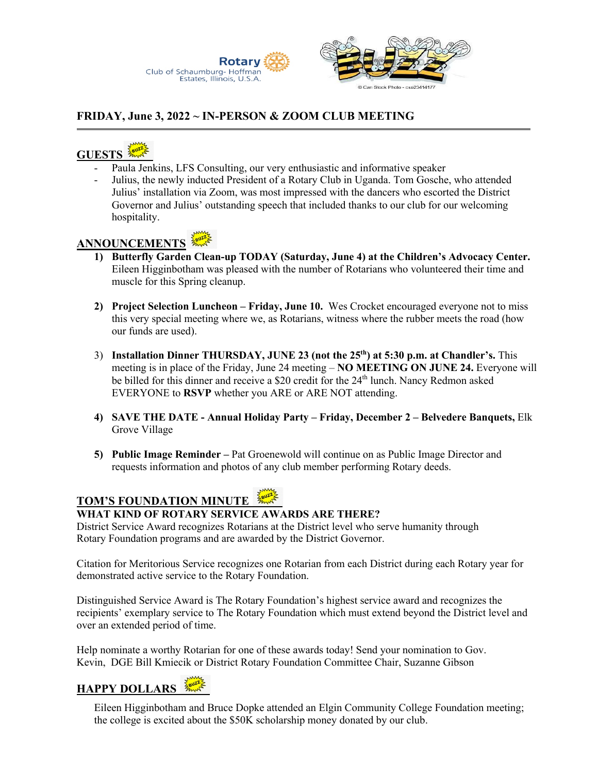

#### **FRIDAY, June 3, 2022 ~ IN-PERSON & ZOOM CLUB MEETING**

## **GUESTS**

- Paula Jenkins, LFS Consulting, our very enthusiastic and informative speaker
- Julius, the newly inducted President of a Rotary Club in Uganda. Tom Gosche, who attended Julius' installation via Zoom, was most impressed with the dancers who escorted the District Governor and Julius' outstanding speech that included thanks to our club for our welcoming hospitality.

### **ANNOUNCEMENTS**

- **1) Butterfly Garden Clean-up TODAY (Saturday, June 4) at the Children's Advocacy Center.**  Eileen Higginbotham was pleased with the number of Rotarians who volunteered their time and muscle for this Spring cleanup.
- **2) Project Selection Luncheon – Friday, June 10.** Wes Crocket encouraged everyone not to miss this very special meeting where we, as Rotarians, witness where the rubber meets the road (how our funds are used).
- 3) **Installation Dinner THURSDAY, JUNE 23 (not the 25th) at 5:30 p.m. at Chandler's.** This meeting is in place of the Friday, June 24 meeting – **NO MEETING ON JUNE 24.** Everyone will be billed for this dinner and receive a \$20 credit for the  $24<sup>th</sup>$  lunch. Nancy Redmon asked EVERYONE to **RSVP** whether you ARE or ARE NOT attending.
- **4) SAVE THE DATE - Annual Holiday Party – Friday, December 2 – Belvedere Banquets,** Elk Grove Village
- **5) Public Image Reminder –** Pat Groenewold will continue on as Public Image Director and requests information and photos of any club member performing Rotary deeds.

#### **TOM'S FOUNDATION MINUTE**

#### **WHAT KIND OF ROTARY SERVICE AWARDS ARE THERE?**

District Service Award recognizes Rotarians at the District level who serve humanity through Rotary Foundation programs and are awarded by the District Governor.

Citation for Meritorious Service recognizes one Rotarian from each District during each Rotary year for demonstrated active service to the Rotary Foundation.

Distinguished Service Award is The Rotary Foundation's highest service award and recognizes the recipients' exemplary service to The Rotary Foundation which must extend beyond the District level and over an extended period of time.

Help nominate a worthy Rotarian for one of these awards today! Send your nomination to Gov. Kevin, DGE Bill Kmiecik or District Rotary Foundation Committee Chair, Suzanne Gibson

## **HAPPY DOLLARS**

Eileen Higginbotham and Bruce Dopke attended an Elgin Community College Foundation meeting; the college is excited about the \$50K scholarship money donated by our club.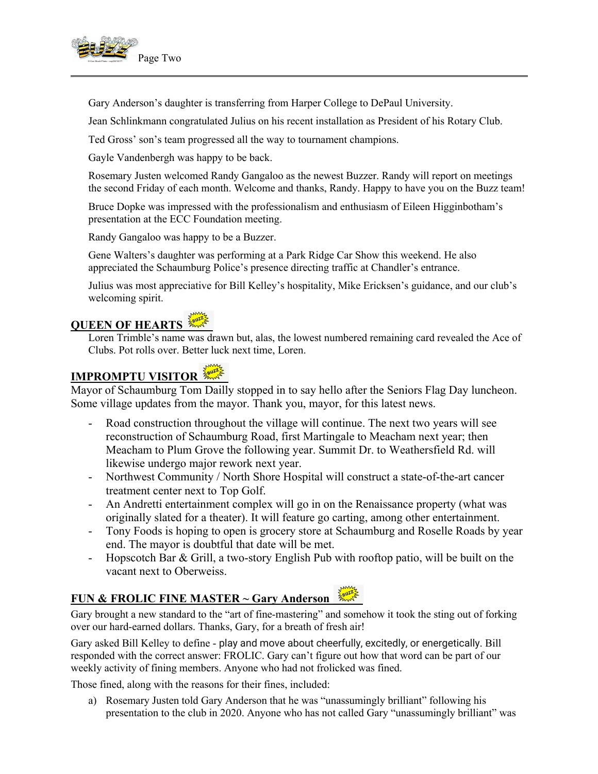

Gary Anderson's daughter is transferring from Harper College to DePaul University.

Jean Schlinkmann congratulated Julius on his recent installation as President of his Rotary Club.

Ted Gross' son's team progressed all the way to tournament champions.

Gayle Vandenbergh was happy to be back.

Rosemary Justen welcomed Randy Gangaloo as the newest Buzzer. Randy will report on meetings the second Friday of each month. Welcome and thanks, Randy. Happy to have you on the Buzz team!

Bruce Dopke was impressed with the professionalism and enthusiasm of Eileen Higginbotham's presentation at the ECC Foundation meeting.

Randy Gangaloo was happy to be a Buzzer.

Gene Walters's daughter was performing at a Park Ridge Car Show this weekend. He also appreciated the Schaumburg Police's presence directing traffic at Chandler's entrance.

Julius was most appreciative for Bill Kelley's hospitality, Mike Ericksen's guidance, and our club's welcoming spirit.

## **QUEEN OF HEARTS**

Loren Trimble's name was drawn but, alas, the lowest numbered remaining card revealed the Ace of Clubs. Pot rolls over. Better luck next time, Loren.

## **IMPROMPTU VISITOR**

Mayor of Schaumburg Tom Dailly stopped in to say hello after the Seniors Flag Day luncheon. Some village updates from the mayor. Thank you, mayor, for this latest news.

- Road construction throughout the village will continue. The next two years will see reconstruction of Schaumburg Road, first Martingale to Meacham next year; then Meacham to Plum Grove the following year. Summit Dr. to Weathersfield Rd. will likewise undergo major rework next year.
- Northwest Community / North Shore Hospital will construct a state-of-the-art cancer treatment center next to Top Golf.
- An Andretti entertainment complex will go in on the Renaissance property (what was originally slated for a theater). It will feature go carting, among other entertainment.
- Tony Foods is hoping to open is grocery store at Schaumburg and Roselle Roads by year end. The mayor is doubtful that date will be met.
- Hopscotch Bar & Grill, a two-story English Pub with rooftop patio, will be built on the vacant next to Oberweiss.

## **FUN & FROLIC FINE MASTER ~ Gary Anderson**

Gary brought a new standard to the "art of fine-mastering" and somehow it took the sting out of forking over our hard-earned dollars. Thanks, Gary, for a breath of fresh air!

Gary asked Bill Kelley to define - play and move about cheerfully, excitedly, or energetically. Bill responded with the correct answer: FROLIC. Gary can't figure out how that word can be part of our weekly activity of fining members. Anyone who had not frolicked was fined.

Those fined, along with the reasons for their fines, included:

a) Rosemary Justen told Gary Anderson that he was "unassumingly brilliant" following his presentation to the club in 2020. Anyone who has not called Gary "unassumingly brilliant" was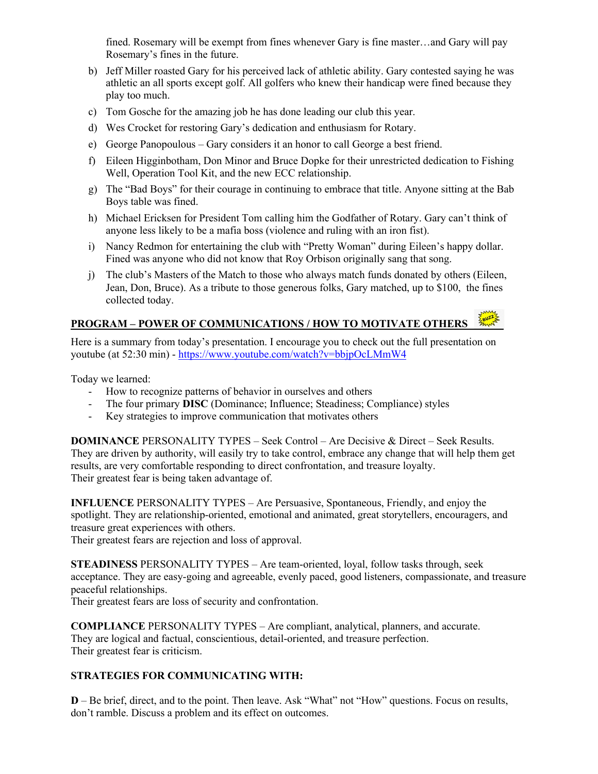fined. Rosemary will be exempt from fines whenever Gary is fine master…and Gary will pay Rosemary's fines in the future.

- b) Jeff Miller roasted Gary for his perceived lack of athletic ability. Gary contested saying he was athletic an all sports except golf. All golfers who knew their handicap were fined because they play too much.
- c) Tom Gosche for the amazing job he has done leading our club this year.
- d) Wes Crocket for restoring Gary's dedication and enthusiasm for Rotary.
- e) George Panopoulous Gary considers it an honor to call George a best friend.
- f) Eileen Higginbotham, Don Minor and Bruce Dopke for their unrestricted dedication to Fishing Well, Operation Tool Kit, and the new ECC relationship.
- g) The "Bad Boys" for their courage in continuing to embrace that title. Anyone sitting at the Bab Boys table was fined.
- h) Michael Ericksen for President Tom calling him the Godfather of Rotary. Gary can't think of anyone less likely to be a mafia boss (violence and ruling with an iron fist).
- i) Nancy Redmon for entertaining the club with "Pretty Woman" during Eileen's happy dollar. Fined was anyone who did not know that Roy Orbison originally sang that song.
- j) The club's Masters of the Match to those who always match funds donated by others (Eileen, Jean, Don, Bruce). As a tribute to those generous folks, Gary matched, up to \$100, the fines collected today.

#### **PROGRAM – POWER OF COMMUNICATIONS / HOW TO MOTIVATE OTHERS**

Here is a summary from today's presentation. I encourage you to check out the full presentation on youtube (at 52:30 min) - https://www.youtube.com/watch?v=bbjpOcLMmW4

Today we learned:

- How to recognize patterns of behavior in ourselves and others
- The four primary **DISC** (Dominance; Influence; Steadiness; Compliance) styles
- Key strategies to improve communication that motivates others

**DOMINANCE** PERSONALITY TYPES – Seek Control – Are Decisive & Direct – Seek Results. They are driven by authority, will easily try to take control, embrace any change that will help them get results, are very comfortable responding to direct confrontation, and treasure loyalty. Their greatest fear is being taken advantage of.

**INFLUENCE** PERSONALITY TYPES – Are Persuasive, Spontaneous, Friendly, and enjoy the spotlight. They are relationship-oriented, emotional and animated, great storytellers, encouragers, and treasure great experiences with others.

Their greatest fears are rejection and loss of approval.

**STEADINESS** PERSONALITY TYPES – Are team-oriented, loyal, follow tasks through, seek acceptance. They are easy-going and agreeable, evenly paced, good listeners, compassionate, and treasure peaceful relationships.

Their greatest fears are loss of security and confrontation.

**COMPLIANCE** PERSONALITY TYPES – Are compliant, analytical, planners, and accurate. They are logical and factual, conscientious, detail-oriented, and treasure perfection. Their greatest fear is criticism.

#### **STRATEGIES FOR COMMUNICATING WITH:**

**D** – Be brief, direct, and to the point. Then leave. Ask "What" not "How" questions. Focus on results, don't ramble. Discuss a problem and its effect on outcomes.